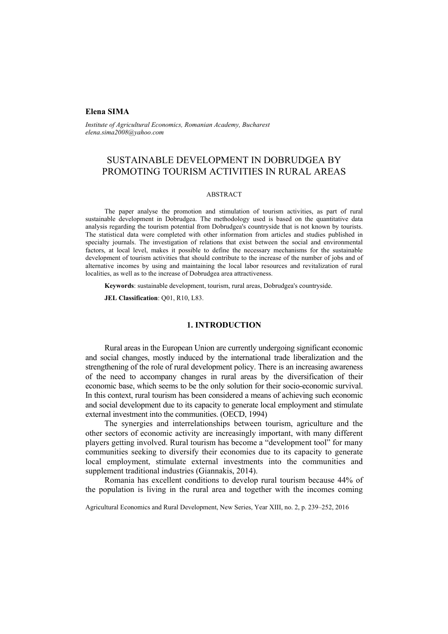## **Elena SIMA**

*Institute of Agricultural Economics, Romanian Academy, Bucharest elena.sima2008@yahoo.com* 

# SUSTAINABLE DEVELOPMENT IN DOBRUDGEA BY PROMOTING TOURISM ACTIVITIES IN RURAL AREAS

#### ABSTRACT

The paper analyse the promotion and stimulation of tourism activities, as part of rural sustainable development in Dobrudgea. The methodology used is based on the quantitative data analysis regarding the tourism potential from Dobrudgea's countryside that is not known by tourists. The statistical data were completed with other information from articles and studies published in specialty journals. The investigation of relations that exist between the social and environmental factors, at local level, makes it possible to define the necessary mechanisms for the sustainable development of tourism activities that should contribute to the increase of the number of jobs and of alternative incomes by using and maintaining the local labor resources and revitalization of rural localities, as well as to the increase of Dobrudgea area attractiveness.

**Keywords**: sustainable development, tourism, rural areas, Dobrudgea's countryside.

**JEL Classification**: Q01, R10, L83.

## **1. INTRODUCTION**

Rural areas in the European Union are currently undergoing significant economic and social changes, mostly induced by the international trade liberalization and the strengthening of the role of rural development policy. There is an increasing awareness of the need to accompany changes in rural areas by the diversification of their economic base, which seems to be the only solution for their socio-economic survival. In this context, rural tourism has been considered a means of achieving such economic and social development due to its capacity to generate local employment and stimulate external investment into the communities. (OECD, 1994)

The synergies and interrelationships between tourism, agriculture and the other sectors of economic activity are increasingly important, with many different players getting involved. Rural tourism has become a "development tool" for many communities seeking to diversify their economies due to its capacity to generate local employment, stimulate external investments into the communities and supplement traditional industries (Giannakis, 2014).

Romania has excellent conditions to develop rural tourism because 44% of the population is living in the rural area and together with the incomes coming

Agricultural Economics and Rural Development, New Series, Year XIII, no. 2, p. 239–252, 2016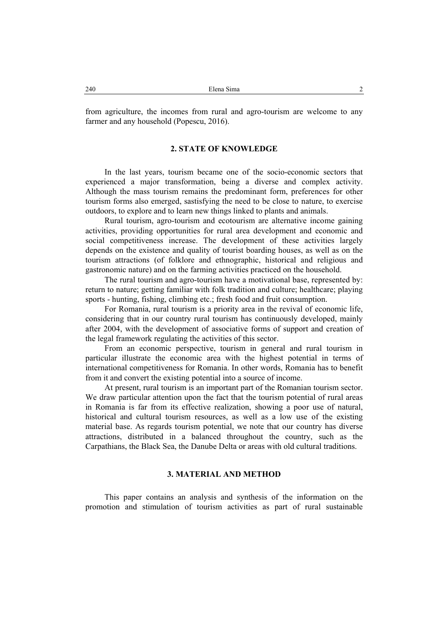from agriculture, the incomes from rural and agro-tourism are welcome to any farmer and any household (Popescu, 2016).

## **2. STATE OF KNOWLEDGE**

In the last years, tourism became one of the socio-economic sectors that experienced a major transformation, being a diverse and complex activity. Although the mass tourism remains the predominant form, preferences for other tourism forms also emerged, sastisfying the need to be close to nature, to exercise outdoors, to explore and to learn new things linked to plants and animals.

Rural tourism, agro-tourism and ecotourism are alternative income gaining activities, providing opportunities for rural area development and economic and social competitiveness increase. The development of these activities largely depends on the existence and quality of tourist boarding houses, as well as on the tourism attractions (of folklore and ethnographic, historical and religious and gastronomic nature) and on the farming activities practiced on the household.

The rural tourism and agro-tourism have a motivational base, represented by: return to nature; getting familiar with folk tradition and culture; healthcare; playing sports - hunting, fishing, climbing etc.; fresh food and fruit consumption.

For Romania, rural tourism is a priority area in the revival of economic life, considering that in our country rural tourism has continuously developed, mainly after 2004, with the development of associative forms of support and creation of the legal framework regulating the activities of this sector.

From an economic perspective, tourism in general and rural tourism in particular illustrate the economic area with the highest potential in terms of international competitiveness for Romania. In other words, Romania has to benefit from it and convert the existing potential into a source of income.

At present, rural tourism is an important part of the Romanian tourism sector. We draw particular attention upon the fact that the tourism potential of rural areas in Romania is far from its effective realization, showing a poor use of natural, historical and cultural tourism resources, as well as a low use of the existing material base. As regards tourism potential, we note that our country has diverse attractions, distributed in a balanced throughout the country, such as the Carpathians, the Black Sea, the Danube Delta or areas with old cultural traditions.

# **3. MATERIAL AND METHOD**

This paper contains an analysis and synthesis of the information on the promotion and stimulation of tourism activities as part of rural sustainable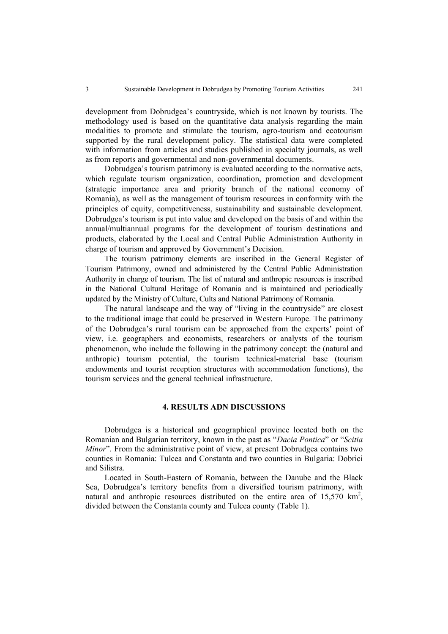development from Dobrudgea's countryside, which is not known by tourists. The methodology used is based on the quantitative data analysis regarding the main modalities to promote and stimulate the tourism, agro-tourism and ecotourism supported by the rural development policy. The statistical data were completed with information from articles and studies published in specialty journals, as well as from reports and governmental and non-governmental documents.

Dobrudgea's tourism patrimony is evaluated according to the normative acts, which regulate tourism organization, coordination, promotion and development (strategic importance area and priority branch of the national economy of Romania), as well as the management of tourism resources in conformity with the principles of equity, competitiveness, sustainability and sustainable development. Dobrudgea's tourism is put into value and developed on the basis of and within the annual/multiannual programs for the development of tourism destinations and products, elaborated by the Local and Central Public Administration Authority in charge of tourism and approved by Government's Decision.

The tourism patrimony elements are inscribed in the General Register of Tourism Patrimony, owned and administered by the Central Public Administration Authority in charge of tourism. The list of natural and anthropic resources is inscribed in the National Cultural Heritage of Romania and is maintained and periodically updated by the Ministry of Culture, Cults and National Patrimony of Romania.

The natural landscape and the way of "living in the countryside" are closest to the traditional image that could be preserved in Western Europe. The patrimony of the Dobrudgea's rural tourism can be approached from the experts' point of view, i.e. geographers and economists, researchers or analysts of the tourism phenomenon, who include the following in the patrimony concept: the (natural and anthropic) tourism potential, the tourism technical-material base (tourism endowments and tourist reception structures with accommodation functions), the tourism services and the general technical infrastructure.

## **4. RESULTS ADN DISCUSSIONS**

Dobrudgea is a historical and geographical province located both on the Romanian and Bulgarian territory, known in the past as "*Dacia Pontica*" or "*Scitia Minor*". From the administrative point of view, at present Dobrudgea contains two counties in Romania: Tulcea and Constanta and two counties in Bulgaria: Dobrici and Silistra.

Located in South-Eastern of Romania, between the Danube and the Black Sea, Dobrudgea's territory benefits from a diversified tourism patrimony, with natural and anthropic resources distributed on the entire area of  $15{,}570 \text{ km}^2$ , divided between the Constanta county and Tulcea county (Table 1).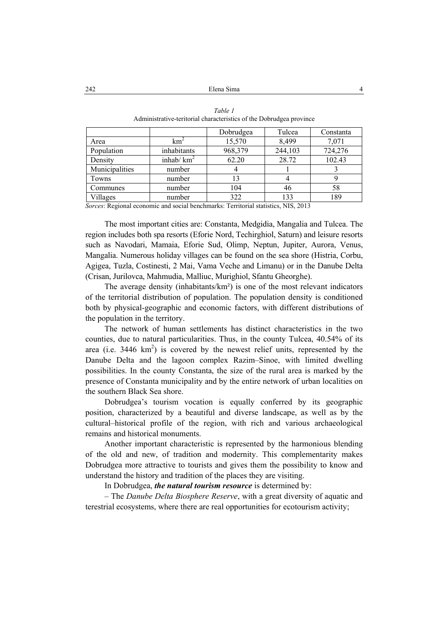|                |               | Dobrudgea | Tulcea  | Constanta |
|----------------|---------------|-----------|---------|-----------|
| Area           | km            | 15,570    | 8,499   | 7,071     |
| Population     | inhabitants   | 968,379   | 244,103 | 724,276   |
| Density        | inhab/ $km^2$ | 62.20     | 28.72   | 102.43    |
| Municipalities | number        |           |         |           |
| Towns          | number        | 13        |         |           |
| Communes       | number        | 104       | 46      | 58        |
| Villages       | number        | 322       | 133     | 189       |

| Table 1                                                             |
|---------------------------------------------------------------------|
| Administrative-teritorial characteristics of the Dobrudgea province |

*Sorces*: Regional economic and social benchmarks: Territorial statistics, NIS, 2013

The most important cities are: Constanta, Medgidia, Mangalia and Tulcea. The region includes both spa resorts (Eforie Nord, Techirghiol, Saturn) and leisure resorts such as Navodari, Mamaia, Eforie Sud, Olimp, Neptun, Jupiter, Aurora, Venus, Mangalia. Numerous holiday villages can be found on the sea shore (Histria, Corbu, Agigea, Tuzla, Costinesti, 2 Mai, Vama Veche and Limanu) or in the Danube Delta (Crisan, Jurilovca, Mahmudia, Malliuc, Murighiol, Sfantu Gheorghe).

The average density (inhabitants/km²) is one of the most relevant indicators of the territorial distribution of population. The population density is conditioned both by physical-geographic and economic factors, with different distributions of the population in the territory.

The network of human settlements has distinct characteristics in the two counties, due to natural particularities. Thus, in the county Tulcea, 40.54% of its area (i.e.  $3446 \text{ km}^2$ ) is covered by the newest relief units, represented by the Danube Delta and the lagoon complex Razim–Sinoe, with limited dwelling possibilities. In the county Constanta, the size of the rural area is marked by the presence of Constanta municipality and by the entire network of urban localities on the southern Black Sea shore.

Dobrudgea's tourism vocation is equally conferred by its geographic position, characterized by a beautiful and diverse landscape, as well as by the cultural–historical profile of the region, with rich and various archaeological remains and historical monuments.

Another important characteristic is represented by the harmonious blending of the old and new, of tradition and modernity. This complementarity makes Dobrudgea more attractive to tourists and gives them the possibility to know and understand the history and tradition of the places they are visiting.

In Dobrudgea, *the natural tourism resource* is determined by:

– The *Danube Delta Biosphere Reserve*, with a great diversity of aquatic and terestrial ecosystems, where there are real opportunities for ecotourism activity;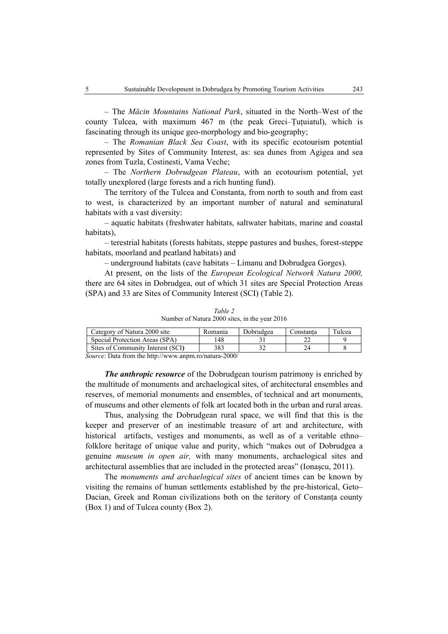– The *Măcin Mountains National Park*, situated in the North–West of the county Tulcea, with maximum 467 m (the peak Greci–Tutuiatul), which is fascinating through its unique geo-morphology and bio-geography;

– The *Romanian Black Sea Coast*, with its specific ecotourism potential represented by Sites of Community Interest, as: sea dunes from Agigea and sea zones from Tuzla, Costinesti, Vama Veche;

– The *Northern Dobrudgean Plateau*, with an ecotourism potential, yet totally unexplored (large forests and a rich hunting fund).

The territory of the Tulcea and Constanta, from north to south and from east to west, is characterized by an important number of natural and seminatural habitats with a vast diversity:

– aquatic habitats (freshwater habitats, saltwater habitats, marine and coastal habitats),

– terestrial habitats (forests habitats, steppe pastures and bushes, forest-steppe habitats, moorland and peatland habitats) and

– underground habitats (cave habitats – Limanu and Dobrudgea Gorges).

At present, on the lists of the *European Ecological Network Natura 2000,* there are 64 sites in Dobrudgea, out of which 31 sites are Special Protection Areas (SPA) and 33 are Sites of Community Interest (SCI) (Table 2).

| Number of Natura 2000 sites, in the year 2016 |         |           |           |        |  |
|-----------------------------------------------|---------|-----------|-----------|--------|--|
| Category of Natura 2000 site                  | Romania | Dobrudgea | Constanta | Tulcea |  |
| Special Protection Areas (SPA)                | 148     |           |           |        |  |
| Sites of Community Interest (SCI)             | 383     |           | 24        |        |  |

*Table 2* 

*Source*: Data from the http://www.anpm.ro/natura-2000/

*The anthropic resource* of the Dobrudgean tourism patrimony is enriched by the multitude of monuments and archaelogical sites, of architectural ensembles and reserves, of memorial monuments and ensembles, of technical and art monuments, of museums and other elements of folk art located both in the urban and rural areas.

Thus, analysing the Dobrudgean rural space, we will find that this is the keeper and preserver of an inestimable treasure of art and architecture, with historical artifacts, vestiges and monuments, as well as of a veritable ethnofolklore heritage of unique value and purity, which "makes out of Dobrudgea a genuine *museum in open air,* with many monuments, archaelogical sites and architectural assemblies that are included in the protected areas" (Ionașcu, 2011).

The *monuments and archaelogical sites* of ancient times can be known by visiting the remains of human settlements established by the pre-historical, Geto– Dacian, Greek and Roman civilizations both on the teritory of Constanța county (Box 1) and of Tulcea county (Box 2).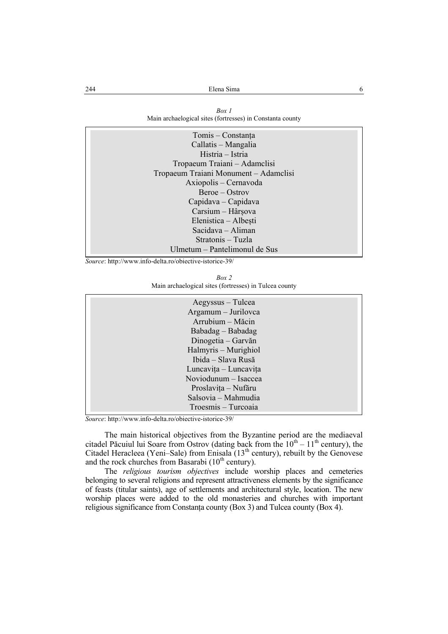| Box 1                                                     |
|-----------------------------------------------------------|
| Main archaelogical sites (fortresses) in Constanta county |

| Tomis – Constanța                     |
|---------------------------------------|
| Callatis – Mangalia                   |
| Histria – Istria                      |
| Tropaeum Traiani – Adamelisi          |
| Tropaeum Traiani Monument – Adamclisi |
| Axiopolis – Cernavoda                 |
| $Beroe-Ostrov$                        |
| Capidava – Capidava                   |
| Carsium - Hârșova                     |
| Elenistica – Albești                  |
| Sacidava - Aliman                     |
| Stratonis – Tuzla                     |
| Ulmetum – Pantelimonul de Sus         |

*Source*: http://www.info-delta.ro/obiective-istorice-39/

| Box 2                                                  |
|--------------------------------------------------------|
| Main archaelogical sites (fortresses) in Tulcea county |

| Aegyssus – Tulcea<br>Argamum - Jurilovca<br>Arrubium - Măcin<br>Babadag – Babadag<br>Dinogetia – Garvăn<br>Halmyris – Murighiol<br>Ibida - Slava Rusă<br>Luncavița – Luncavița |  |
|--------------------------------------------------------------------------------------------------------------------------------------------------------------------------------|--|
| Noviodunum - Isaccea<br>Proslavița - Nufăru<br>Salsovia - Mahmudia                                                                                                             |  |
| Troesmis – Turcoaia                                                                                                                                                            |  |

*Source*: http://www.info-delta.ro/obiective-istorice-39/

The main historical objectives from the Byzantine period are the mediaeval citadel Păcuiul lui Soare from Ostrov (dating back from the  $10^{th} - 11^{th}$  century), the Citadel Heracleea (Yeni–Sale) from Enisala  $(13<sup>th</sup>$  century), rebuilt by the Genovese and the rock churches from Basarabi  $(10<sup>th</sup>$  century).

The *religious tourism objectives* include worship places and cemeteries belonging to several religions and represent attractiveness elements by the significance of feasts (titular saints), age of settlements and architectural style, location. The new worship places were added to the old monasteries and churches with important religious significance from Constanța county (Box 3) and Tulcea county (Box 4).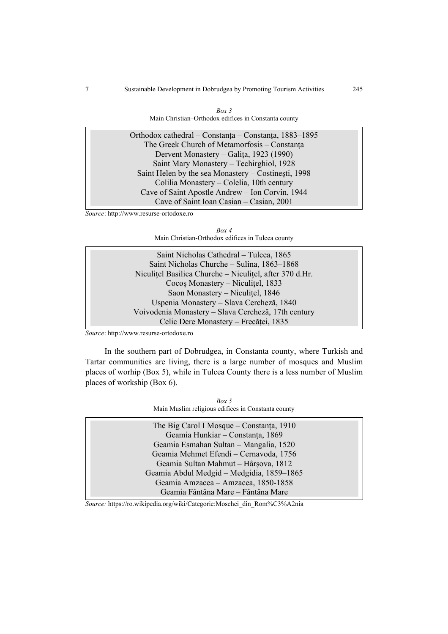| Box 3<br>Main Christian–Orthodox edifices in Constanta county                                           |
|---------------------------------------------------------------------------------------------------------|
| Orthodox cathedral – Constanța – Constanța, 1883–1895<br>The Greek Church of Metamorfosis $C$ Constants |

The Greek Church of Metamorfosis – Constanța Dervent Monastery – Galița, 1923 (1990) Saint Mary Monastery – Techirghiol, 1928 Saint Helen by the sea Monastery – Costinești, 1998 Colilia Monastery – Colelia, 10th century Cave of Saint Apostle Andrew – Ion Corvin, 1944 Cave of Saint Ioan Casian – Casian, 2001

*Source*: http://www.resurse-ortodoxe.ro



| Saint Nicholas Cathedral - Tulcea, 1865                 |  |
|---------------------------------------------------------|--|
| Saint Nicholas Churche – Sulina, 1863–1868              |  |
| Niculitel Basilica Churche – Niculitel, after 370 d.Hr. |  |
| Cocos Monastery – Niculitel, 1833                       |  |
| Saon Monastery - Niculitel, 1846                        |  |
| Uspenia Monastery – Slava Cercheză, 1840                |  |
| Voivodenia Monastery – Slava Cercheză, 17th century     |  |
| Celic Dere Monastery – Frecăței, 1835                   |  |
|                                                         |  |

*Source*: http://www.resurse-ortodoxe.ro

In the southern part of Dobrudgea, in Constanta county, where Turkish and Tartar communities are living, there is a large number of mosques and Muslim places of worhip (Box 5), while in Tulcea County there is a less number of Muslim places of workship (Box 6).

| Box 5 |                                                    |
|-------|----------------------------------------------------|
|       | Main Muslim religious edifices in Constanta county |

| Geamia Sultan Mahmut - Hârșova, 1812<br>Geamia Abdul Medgid - Medgidia, 1859-1865 | The Big Carol I Mosque – Constanta, 1910<br>Geamia Hunkiar - Constanța, 1869<br>Geamia Esmahan Sultan – Mangalia, 1520<br>Geamia Mehmet Efendi - Cernavoda, 1756 |  |
|-----------------------------------------------------------------------------------|------------------------------------------------------------------------------------------------------------------------------------------------------------------|--|
| Geamia Fântâna Mare – Fântâna Mare                                                | Geamia Amzacea - Amzacea, 1850-1858                                                                                                                              |  |

*Source:* https://ro.wikipedia.org/wiki/Categorie:Moschei\_din\_Rom%C3%A2nia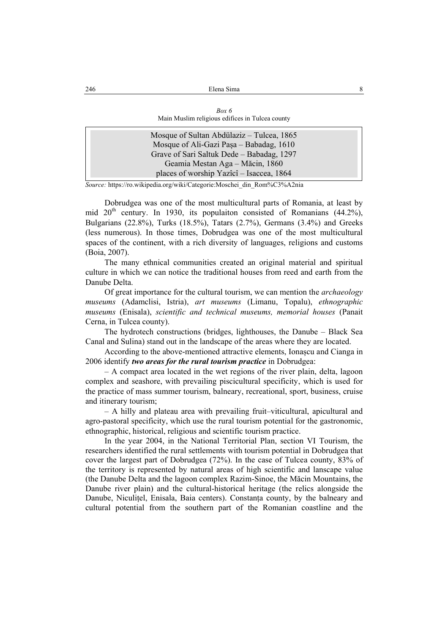| 246 | Elena Sima                                      | 8 |
|-----|-------------------------------------------------|---|
|     |                                                 |   |
|     | Box 6                                           |   |
|     | Main Muslim religious edifices in Tulcea county |   |
|     | Mosque of Sultan Abdülaziz – Tulcea, 1865       |   |
|     | Mosque of Ali-Gazi Paşa – Babadag, 1610         |   |
|     | Grave of Sari Saltuk Dede – Babadag, 1297       |   |
|     | Geamia Mestan Aga - Măcin, 1860                 |   |
|     | places of worship Yazîcî – Isaccea, 1864        |   |

*Source:* https://ro.wikipedia.org/wiki/Categorie:Moschei\_din\_Rom%C3%A2nia

Dobrudgea was one of the most multicultural parts of Romania, at least by mid  $20<sup>th</sup>$  century. In 1930, its populaiton consisted of Romanians (44.2%), Bulgarians (22.8%), Turks (18.5%), Tatars (2.7%), Germans (3.4%) and Greeks (less numerous). In those times, Dobrudgea was one of the most multicultural spaces of the continent, with a rich diversity of languages, religions and customs (Boia, 2007).

The many ethnical communities created an original material and spiritual culture in which we can notice the traditional houses from reed and earth from the Danube Delta.

Of great importance for the cultural tourism, we can mention the *archaeology museums* (Adamclisi, Istria), *art museums* (Limanu, Topalu), *ethnographic museums* (Enisala), *scientific and technical museums, memorial houses* (Panait Cerna, in Tulcea county).

The hydrotech constructions (bridges, lighthouses, the Danube – Black Sea Canal and Sulina) stand out in the landscape of the areas where they are located.

According to the above-mentioned attractive elements, Ionașcu and Cianga in 2006 identify *two areas for the rural tourism practice* in Dobrudgea:

– A compact area located in the wet regions of the river plain, delta, lagoon complex and seashore, with prevailing piscicultural specificity, which is used for the practice of mass summer tourism, balneary, recreational, sport, business, cruise and itinerary tourism;

– A hilly and plateau area with prevailing fruit–viticultural, apicultural and agro-pastoral specificity, which use the rural tourism potential for the gastronomic, ethnographic, historical, religious and scientific tourism practice.

In the year 2004, in the National Territorial Plan, section VI Tourism, the researchers identified the rural settlements with tourism potential in Dobrudgea that cover the largest part of Dobrudgea (72%). In the case of Tulcea county, 83% of the territory is represented by natural areas of high scientific and lanscape value (the Danube Delta and the lagoon complex Razim-Sinoe, the Măcin Mountains, the Danube river plain) and the cultural-historical heritage (the relics alongside the Danube, Niculițel, Enisala, Baia centers). Constanța county, by the balneary and cultural potential from the southern part of the Romanian coastline and the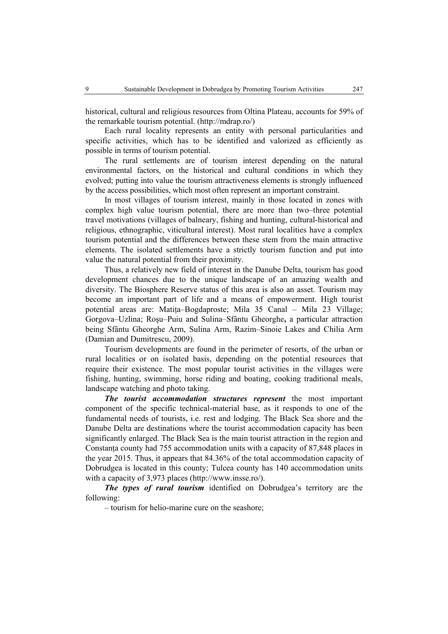historical, cultural and religious resources from Oltina Plateau, accounts for 59% of the remarkable tourism potential. (http://mdrap.ro/)

Each rural locality represents an entity with personal particularities and specific activities, which has to be identified and valorized as efficiently as possible in terms of tourism potential.

The rural settlements are of tourism interest depending on the natural environmental factors, on the historical and cultural conditions in which they evolved; putting into value the tourism attractiveness elements is strongly influenced by the access possibilities, which most often represent an important constraint.

In most villages of tourism interest, mainly in those located in zones with complex high value tourism potential, there are more than two–three potential travel motivations (villages of balneary, fishing and hunting, cultural-historical and religious, ethnographic, viticultural interest). Most rural localities have a complex tourism potential and the differences between these stem from the main attractive elements. The isolated settlements have a strictly tourism function and put into value the natural potential from their proximity.

Thus, a relatively new field of interest in the Danube Delta, tourism has good development chances due to the unique landscape of an amazing wealth and diversity. The Biosphere Reserve status of this area is also an asset. Tourism may become an important part of life and a means of empowerment. High tourist potential areas are: Matita–Bogdaproste; Mila 35 Canal – Mila 23 Village; Gorgova–Uzlina; Roşu–Puiu and Sulina–Sfântu Gheorghe**,** a particular attraction being Sfântu Gheorghe Arm, Sulina Arm, Razim–Sinoie Lakes and Chilia Arm (Damian and Dumitrescu, 2009).

Tourism developments are found in the perimeter of resorts, of the urban or rural localities or on isolated basis, depending on the potential resources that require their existence. The most popular tourist activities in the villages were fishing, hunting, swimming, horse riding and boating, cooking traditional meals, landscape watching and photo taking.

*The tourist accommodation structures represent* the most important component of the specific technical-material base, as it responds to one of the fundamental needs of tourists, i.e. rest and lodging. The Black Sea shore and the Danube Delta are destinations where the tourist accommodation capacity has been significantly enlarged. The Black Sea is the main tourist attraction in the region and Constanța county had 755 accommodation units with a capacity of 87,848 places in the year 2015. Thus, it appears that 84.36% of the total accommodation capacity of Dobrudgea is located in this county; Tulcea county has 140 accommodation units with a capacity of 3,973 places (http://www.insse.ro/).

*The types of rural tourism* identified on Dobrudgea's territory are the following:

– tourism for helio-marine cure on the seashore;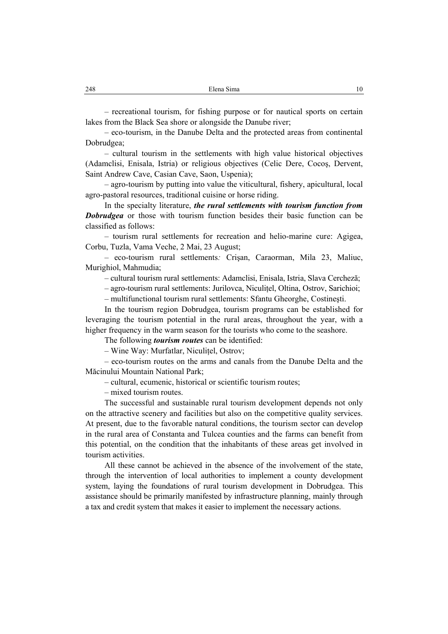– recreational tourism, for fishing purpose or for nautical sports on certain lakes from the Black Sea shore or alongside the Danube river;

– eco-tourism, in the Danube Delta and the protected areas from continental Dobrudgea;

– cultural tourism in the settlements with high value historical objectives (Adamclisi, Enisala, Istria) or religious objectives (Celic Dere, Cocoş, Dervent, Saint Andrew Cave, Casian Cave, Saon, Uspenia);

– agro-tourism by putting into value the viticultural, fishery, apicultural, local agro-pastoral resources, traditional cuisine or horse riding.

In the specialty literature, *the rural settlements with tourism function from*  **Dobrudgea** or those with tourism function besides their basic function can be classified as follows:

– tourism rural settlements for recreation and helio-marine cure: Agigea, Corbu, Tuzla, Vama Veche, 2 Mai, 23 August;

– eco-tourism rural settlements*:* Crişan, Caraorman, Mila 23, Maliuc, Murighiol, Mahmudia;

– cultural tourism rural settlements: Adamclisi, Enisala, Istria, Slava Cercheză;

– agro-tourism rural settlements: Jurilovca, Niculiţel, Oltina, Ostrov, Sarichioi;

– multifunctional tourism rural settlements: Sfantu Gheorghe, Costineşti.

In the tourism region Dobrudgea, tourism programs can be established for leveraging the tourism potential in the rural areas, throughout the year, with a higher frequency in the warm season for the tourists who come to the seashore.

The following *tourism routes* can be identified:

– Wine Way: Murfatlar, Niculitel, Ostrov;

– eco-tourism routes on the arms and canals from the Danube Delta and the Măcinului Mountain National Park;

– cultural, ecumenic, historical or scientific tourism routes;

– mixed tourism routes.

The successful and sustainable rural tourism development depends not only on the attractive scenery and facilities but also on the competitive quality services. At present, due to the favorable natural conditions, the tourism sector can develop in the rural area of Constanta and Tulcea counties and the farms can benefit from this potential, on the condition that the inhabitants of these areas get involved in tourism activities.

All these cannot be achieved in the absence of the involvement of the state, through the intervention of local authorities to implement a county development system, laying the foundations of rural tourism development in Dobrudgea. This assistance should be primarily manifested by infrastructure planning, mainly through a tax and credit system that makes it easier to implement the necessary actions.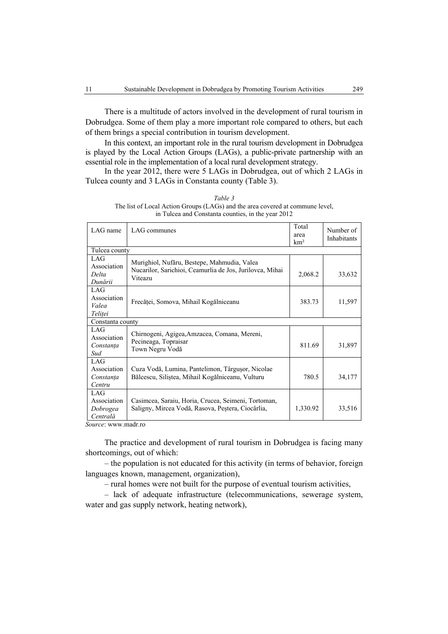There is a multitude of actors involved in the development of rural tourism in Dobrudgea. Some of them play a more important role compared to others, but each of them brings a special contribution in tourism development.

In this context, an important role in the rural tourism development in Dobrudgea is played by the Local Action Groups (LAGs), a public-private partnership with an essential role in the implementation of a local rural development strategy.

In the year 2012, there were 5 LAGs in Dobrudgea, out of which 2 LAGs in Tulcea county and 3 LAGs in Constanta county (Table 3).

| Table 3                                                                       |
|-------------------------------------------------------------------------------|
| The list of Local Action Groups (LAGs) and the area covered at commune level, |
| in Tulcea and Constanta counties, in the year 2012                            |

| LAG name                                   | LAG communes                                                                                                          | Total<br>area<br>km <sup>2</sup> | Number of<br>Inhabitants |  |  |  |  |
|--------------------------------------------|-----------------------------------------------------------------------------------------------------------------------|----------------------------------|--------------------------|--|--|--|--|
| Tulcea county                              |                                                                                                                       |                                  |                          |  |  |  |  |
| LAG<br>Association<br>Delta<br>Dunării     | Murighiol, Nufăru, Bestepe, Mahmudia, Valea<br>Nucarilor, Sarichioi, Ceamurlia de Jos, Jurilovca, Mihai<br>Viteazu    | 2,068.2                          | 33,632                   |  |  |  |  |
| LAG<br>Association<br>Valea<br>Telitei     | Frecăței, Somova, Mihail Kogălniceanu                                                                                 | 383.73                           | 11,597                   |  |  |  |  |
| Constanta county                           |                                                                                                                       |                                  |                          |  |  |  |  |
| LAG<br>Association<br>Constanța<br>Sud     | Chirnogeni, Agigea, Amzacea, Comana, Mereni,<br>Pecineaga, Topraisar<br>Town Negru Vodă                               | 811.69                           | 31,897                   |  |  |  |  |
| LAG<br>Association<br>Constanta<br>Centru  | Cuza Vodă, Lumina, Pantelimon, Târgușor, Nicolae<br>Bălcescu, Siliștea, Mihail Kogălniceanu, Vulturu                  | 780.5                            | 34,177                   |  |  |  |  |
| LAG<br>Association<br>Dobrogea<br>Centrală | Casimcea, Saraiu, Horia, Crucea, Seimeni, Tortoman,<br>Saligny, Mircea Vodă, Rasova, Peștera, Ciocârlia,<br>$\bullet$ | 1,330.92                         | 33,516                   |  |  |  |  |

*Source*: www.madr.ro

The practice and development of rural tourism in Dobrudgea is facing many shortcomings, out of which:

– the population is not educated for this activity (in terms of behavior, foreign languages known, management, organization),

– rural homes were not built for the purpose of eventual tourism activities,

– lack of adequate infrastructure (telecommunications, sewerage system, water and gas supply network, heating network),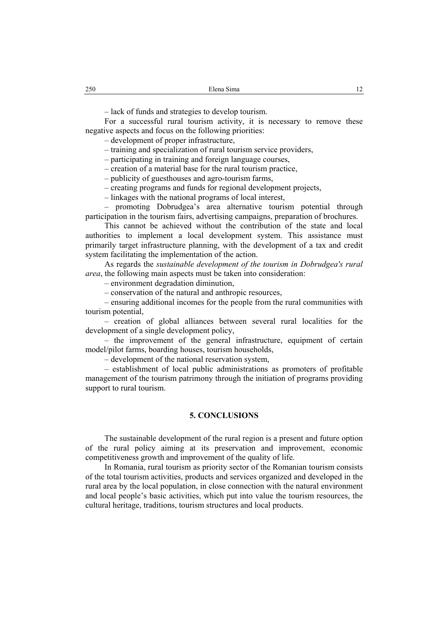– lack of funds and strategies to develop tourism.

For a successful rural tourism activity, it is necessary to remove these negative aspects and focus on the following priorities:

– development of proper infrastructure,

– training and specialization of rural tourism service providers,

– participating in training and foreign language courses,

– creation of a material base for the rural tourism practice,

– publicity of guesthouses and agro-tourism farms,

– creating programs and funds for regional development projects,

– linkages with the national programs of local interest,

– promoting Dobrudgea's area alternative tourism potential through participation in the tourism fairs, advertising campaigns, preparation of brochures.

This cannot be achieved without the contribution of the state and local authorities to implement a local development system. This assistance must primarily target infrastructure planning, with the development of a tax and credit system facilitating the implementation of the action.

As regards the *sustainable development of the tourism in Dobrudgea's rural area*, the following main aspects must be taken into consideration:

– environment degradation diminution,

– conservation of the natural and anthropic resources,

– ensuring additional incomes for the people from the rural communities with tourism potential,

– creation of global alliances between several rural localities for the development of a single development policy,

– the improvement of the general infrastructure, equipment of certain model/pilot farms, boarding houses, tourism households,

– development of the national reservation system,

– establishment of local public administrations as promoters of profitable management of the tourism patrimony through the initiation of programs providing support to rural tourism.

#### **5. CONCLUSIONS**

The sustainable development of the rural region is a present and future option of the rural policy aiming at its preservation and improvement, economic competitiveness growth and improvement of the quality of life.

In Romania, rural tourism as priority sector of the Romanian tourism consists of the total tourism activities, products and services organized and developed in the rural area by the local population, in close connection with the natural environment and local people's basic activities, which put into value the tourism resources, the cultural heritage, traditions, tourism structures and local products.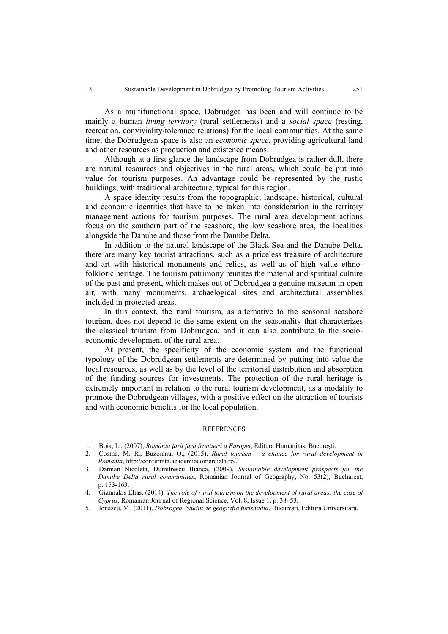As a multifunctional space, Dobrudgea has been and will continue to be mainly a human *living territory* (rural settlements) and a *social space* (resting, recreation, conviviality/tolerance relations) for the local communities. At the same time, the Dobrudgean space is also an *economic space,* providing agricultural land and other resources as production and existence means.

Although at a first glance the landscape from Dobrudgea is rather dull, there are natural resources and objectives in the rural areas, which could be put into value for tourism purposes. An advantage could be represented by the rustic buildings, with traditional architecture, typical for this region.

A space identity results from the topographic, landscape, historical, cultural and economic identities that have to be taken into consideration in the territory management actions for tourism purposes. The rural area development actions focus on the southern part of the seashore, the low seashore area, the localities alongside the Danube and those from the Danube Delta.

In addition to the natural landscape of the Black Sea and the Danube Delta, there are many key tourist attractions, such as a priceless treasure of architecture and art with historical monuments and relics, as well as of high value ethnofolkloric heritage. The tourism patrimony reunites the material and spiritual culture of the past and present, which makes out of Dobrudgea a genuine museum in open air*,* with many monuments, archaelogical sites and architectural assemblies included in protected areas.

In this context, the rural tourism, as alternative to the seasonal seashore tourism, does not depend to the same extent on the seasonality that characterizes the classical tourism from Dobrudgea, and it can also contribute to the socioeconomic development of the rural area.

At present, the specificity of the economic system and the functional typology of the Dobrudgean settlements are determined by putting into value the local resources, as well as by the level of the territorial distribution and absorption of the funding sources for investments. The protection of the rural heritage is extremely important in relation to the rural tourism development, as a modality to promote the Dobrudgean villages, with a positive effect on the attraction of tourists and with economic benefits for the local population.

#### **REFERENCES**

- 1. Boia, L., (2007), *România țară fără frontieră a Europei*, Editura Humanitas, București.
- 2. Cosma, M. R., Buzoianu, O., (2015), *Rural tourism a chance for rural development in Romania*, http://conferinta.academiacomerciala.ro/.
- 3. Damian Nicoleta, Dumitrescu Bianca, (2009), *Sustainable development prospects for the Danube Delta rural communities*, Romanian Journal of Geography, No. 53(2), Bucharest, p. 153-163.
- 4. Giannakis Elias, (2014), *The role of rural tourism on the development of rural areas: the case of Cyprus*, Romanian Journal of Regional Science, Vol. 8, Issue 1, p. 38–53.
- 5. Ionașcu, V., (2011), *Dobrogea. Studiu de geografia turismului*, București, Editura Universitară.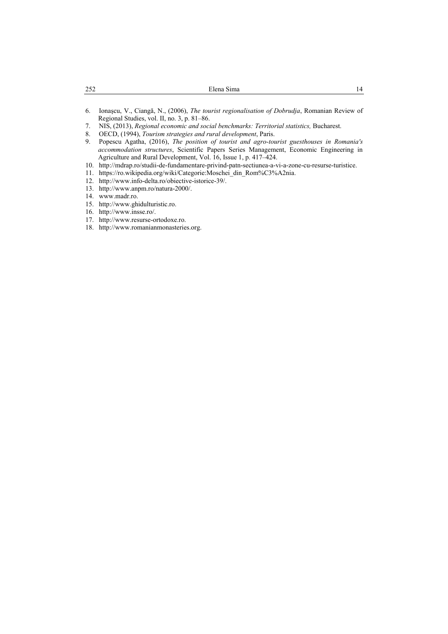| 252 | Elena Sima | .4 |
|-----|------------|----|
|     |            |    |

- 6. Ionaşcu, V., Ciangă, N., (2006), *The tourist regionalisation of Dobrudja*, Romanian Review of Regional Studies, vol. II, no. 3, p. 81–86.
- 7. NIS, (2013), *Regional economic and social benchmarks: Territorial statistics,* Bucharest.
- 8. OECD, (1994), *Tourism strategies and rural development*, Paris.
- 9. Popescu Agatha, (2016), *The position of tourist and agro-tourist guesthouses in Romania's accommodation structures*, Scientific Papers Series Management, Economic Engineering in Agriculture and Rural Development, Vol. 16, Issue 1, p. 417–424.
- 10. http://mdrap.ro/studii-de-fundamentare-privind-patn-sectiunea-a-vi-a-zone-cu-resurse-turistice.
- 11. https://ro.wikipedia.org/wiki/Categorie:Moschei\_din\_Rom%C3%A2nia.
- 12. http://www.info-delta.ro/obiective-istorice-39/.
- 13. http://www.anpm.ro/natura-2000/.
- 14. www.madr.ro.
- 15. http://www.ghidulturistic.ro.
- 16. http://www.insse.ro/.
- 17. http://www.resurse-ortodoxe.ro.
- 18. http://www.romanianmonasteries.org.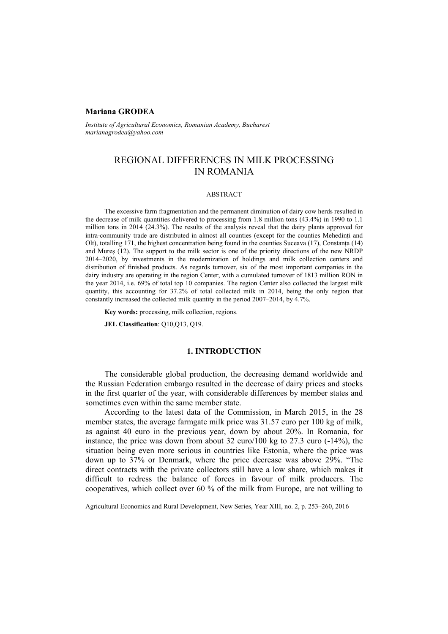## **Mariana GRODEA**

*Institute of Agricultural Economics, Romanian Academy, Bucharest marianagrodea@yahoo.com* 

# REGIONAL DIFFERENCES IN MILK PROCESSING IN ROMANIA

#### ABSTRACT

The excessive farm fragmentation and the permanent diminution of dairy cow herds resulted in the decrease of milk quantities delivered to processing from 1.8 million tons (43.4%) in 1990 to 1.1 million tons in 2014 (24.3%). The results of the analysis reveal that the dairy plants approved for intra-community trade are distributed in almost all counties (except for the counties Mehedinți and Olt), totalling 171, the highest concentration being found in the counties Suceava (17), Constanța (14) and Mureș (12). The support to the milk sector is one of the priority directions of the new NRDP 2014–2020, by investments in the modernization of holdings and milk collection centers and distribution of finished products. As regards turnover, six of the most important companies in the dairy industry are operating in the region Center, with a cumulated turnover of 1813 million RON in the year 2014, i.e. 69% of total top 10 companies. The region Center also collected the largest milk quantity, this accounting for 37.2% of total collected milk in 2014, being the only region that constantly increased the collected milk quantity in the period 2007–2014, by 4.7%.

**Key words:** processing, milk collection, regions.

**JEL Classification**: Q10,Q13, Q19.

# **1. INTRODUCTION**

The considerable global production, the decreasing demand worldwide and the Russian Federation embargo resulted in the decrease of dairy prices and stocks in the first quarter of the year, with considerable differences by member states and sometimes even within the same member state.

According to the latest data of the Commission, in March 2015, in the 28 member states, the average farmgate milk price was 31.57 euro per 100 kg of milk, as against 40 euro in the previous year, down by about 20%. In Romania, for instance, the price was down from about 32 euro/100 kg to 27.3 euro (-14%), the situation being even more serious in countries like Estonia, where the price was down up to 37% or Denmark, where the price decrease was above 29%. "The direct contracts with the private collectors still have a low share, which makes it difficult to redress the balance of forces in favour of milk producers. The cooperatives, which collect over 60 % of the milk from Europe, are not willing to

Agricultural Economics and Rural Development, New Series, Year XIII, no. 2, p. 253–260, 2016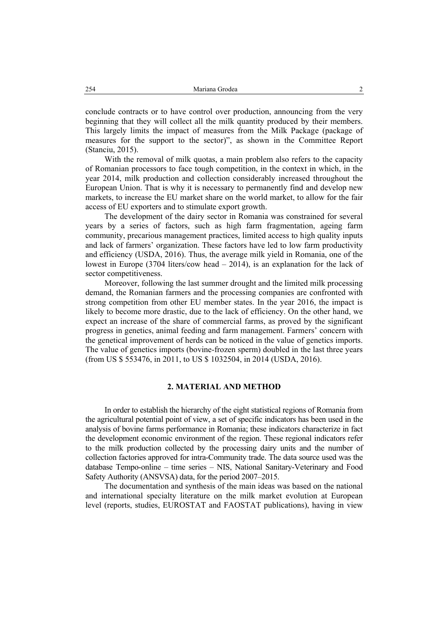conclude contracts or to have control over production, announcing from the very beginning that they will collect all the milk quantity produced by their members. This largely limits the impact of measures from the Milk Package (package of measures for the support to the sector)", as shown in the Committee Report (Stanciu, 2015).

With the removal of milk quotas, a main problem also refers to the capacity of Romanian processors to face tough competition, in the context in which, in the year 2014, milk production and collection considerably increased throughout the European Union. That is why it is necessary to permanently find and develop new markets, to increase the EU market share on the world market, to allow for the fair access of EU exporters and to stimulate export growth.

The development of the dairy sector in Romania was constrained for several years by a series of factors, such as high farm fragmentation, ageing farm community, precarious management practices, limited access to high quality inputs and lack of farmers' organization. These factors have led to low farm productivity and efficiency (USDA, 2016). Thus, the average milk yield in Romania, one of the lowest in Europe (3704 liters/cow head – 2014), is an explanation for the lack of sector competitiveness.

Moreover, following the last summer drought and the limited milk processing demand, the Romanian farmers and the processing companies are confronted with strong competition from other EU member states. In the year 2016, the impact is likely to become more drastic, due to the lack of efficiency. On the other hand, we expect an increase of the share of commercial farms, as proved by the significant progress in genetics, animal feeding and farm management. Farmers' concern with the genetical improvement of herds can be noticed in the value of genetics imports. The value of genetics imports (bovine-frozen sperm) doubled in the last three years (from US \$ 553476, in 2011, to US \$ 1032504, in 2014 (USDA, 2016).

#### **2. MATERIAL AND METHOD**

In order to establish the hierarchy of the eight statistical regions of Romania from the agricultural potential point of view, a set of specific indicators has been used in the analysis of bovine farms performance in Romania; these indicators characterize in fact the development economic environment of the region. These regional indicators refer to the milk production collected by the processing dairy units and the number of collection factories approved for intra-Community trade. The data source used was the database Tempo-online – time series – NIS, National Sanitary-Veterinary and Food Safety Authority (ANSVSA) data, for the period 2007–2015.

The documentation and synthesis of the main ideas was based on the national and international specialty literature on the milk market evolution at European level (reports, studies, EUROSTAT and FAOSTAT publications), having in view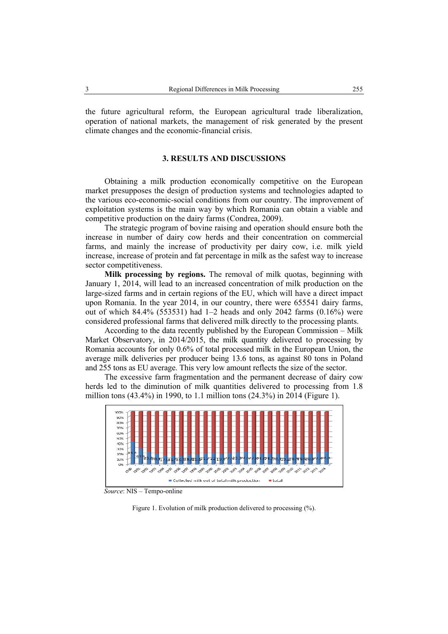the future agricultural reform, the European agricultural trade liberalization, operation of national markets, the management of risk generated by the present climate changes and the economic-financial crisis.

#### **3. RESULTS AND DISCUSSIONS**

Obtaining a milk production economically competitive on the European market presupposes the design of production systems and technologies adapted to the various eco-economic-social conditions from our country. The improvement of exploitation systems is the main way by which Romania can obtain a viable and competitive production on the dairy farms (Condrea, 2009).

The strategic program of bovine raising and operation should ensure both the increase in number of dairy cow herds and their concentration on commercial farms, and mainly the increase of productivity per dairy cow, i.e. milk yield increase, increase of protein and fat percentage in milk as the safest way to increase sector competitiveness.

**Milk processing by regions.** The removal of milk quotas, beginning with January 1, 2014, will lead to an increased concentration of milk production on the large-sized farms and in certain regions of the EU, which will have a direct impact upon Romania. In the year 2014, in our country, there were 655541 dairy farms, out of which 84.4% (553531) had  $1-2$  heads and only 2042 farms  $(0.16\%)$  were considered professional farms that delivered milk directly to the processing plants.

According to the data recently published by the European Commission – Milk Market Observatory, in 2014/2015, the milk quantity delivered to processing by Romania accounts for only 0.6% of total processed milk in the European Union, the average milk deliveries per producer being 13.6 tons, as against 80 tons in Poland and 255 tons as EU average. This very low amount reflects the size of the sector.

The excessive farm fragmentation and the permanent decrease of dairy cow herds led to the diminution of milk quantities delivered to processing from 1.8 million tons (43.4%) in 1990, to 1.1 million tons (24.3%) in 2014 (Figure 1).



 *Source*: NIS – Tempo-online

Figure 1. Evolution of milk production delivered to processing (%).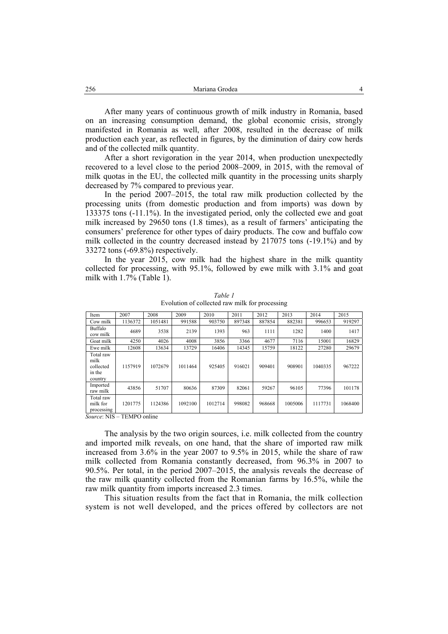After many years of continuous growth of milk industry in Romania, based on an increasing consumption demand, the global economic crisis, strongly manifested in Romania as well, after 2008, resulted in the decrease of milk production each year, as reflected in figures, by the diminution of dairy cow herds and of the collected milk quantity.

After a short revigoration in the year 2014, when production unexpectedly recovered to a level close to the period 2008–2009, in 2015, with the removal of milk quotas in the EU, the collected milk quantity in the processing units sharply decreased by 7% compared to previous year.

In the period 2007–2015, the total raw milk production collected by the processing units (from domestic production and from imports) was down by 133375 tons (-11.1%). In the investigated period, only the collected ewe and goat milk increased by 29650 tons (1.8 times), as a result of farmers' anticipating the consumers' preference for other types of dairy products. The cow and buffalo cow milk collected in the country decreased instead by 217075 tons (-19.1%) and by 33272 tons (-69.8%) respectively.

In the year 2015, cow milk had the highest share in the milk quantity collected for processing, with 95.1%, followed by ewe milk with 3.1% and goat milk with 1.7% (Table 1).

| Item                                                | 2007    | 2008    | 2009    | 2010    | 2011   | 2012   | 2013    | 2014    | 2015    |
|-----------------------------------------------------|---------|---------|---------|---------|--------|--------|---------|---------|---------|
| Cow milk                                            | 1136372 | 1051481 | 991588  | 903750  | 897348 | 887854 | 882381  | 996653  | 919297  |
| Buffalo<br>cow milk                                 | 4689    | 3538    | 2139    | 1393    | 963    | 1111   | 1282    | 1400    | 1417    |
| Goat milk                                           | 4250    | 4026    | 4008    | 3856    | 3366   | 4677   | 7116    | 15001   | 16829   |
| Ewe milk                                            | 12608   | 13634   | 13729   | 16406   | 14345  | 15759  | 18122   | 27280   | 29679   |
| Total raw<br>milk<br>collected<br>in the<br>country | 1157919 | 1072679 | 1011464 | 925405  | 916021 | 909401 | 908901  | 1040335 | 967222  |
| Imported<br>raw milk                                | 43856   | 51707   | 80636   | 87309   | 82061  | 59267  | 96105   | 77396   | 101178  |
| Total raw<br>milk for<br>processing                 | 1201775 | 1124386 | 1092100 | 1012714 | 998082 | 968668 | 1005006 | 1117731 | 1068400 |
| $Source$ NIS = TEMPO online                         |         |         |         |         |        |        |         |         |         |

*Table 1* Evolution of collected raw milk for processing

*Source*: NIS – TEMPO online

The analysis by the two origin sources, i.e. milk collected from the country and imported milk reveals, on one hand, that the share of imported raw milk increased from 3.6% in the year 2007 to 9.5% in 2015, while the share of raw milk collected from Romania constantly decreased, from 96.3% in 2007 to 90.5%. Per total, in the period 2007–2015, the analysis reveals the decrease of the raw milk quantity collected from the Romanian farms by 16.5%, while the raw milk quantity from imports increased 2.3 times.

This situation results from the fact that in Romania, the milk collection system is not well developed, and the prices offered by collectors are not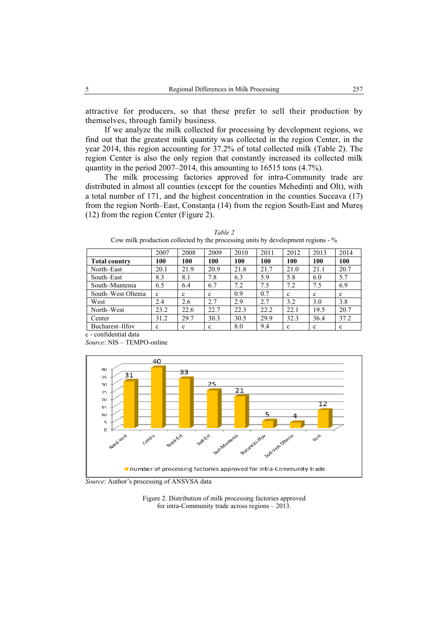attractive for producers, so that these prefer to sell their production by themselves, through family business.

If we analyze the milk collected for processing by development regions, we find out that the greatest milk quantity was collected in the region Center, in the year 2014, this region accounting for 37.2% of total collected milk (Table 2). The region Center is also the only region that constantly increased its collected milk quantity in the period 2007–2014, this amounting to 16515 tons (4.7%).

The milk processing factories approved for intra-Community trade are distributed in almost all counties (except for the counties Mehedinți and Olt), with a total number of 171, and the highest concentration in the counties Suceava (17) from the region North–East, Constanța (14) from the region South-East and Mureș (12) from the region Center (Figure 2).

|                      | 2007 | 2008 | 2009 | 2010 | 2011 | 2012        | 2013 | 2014 |
|----------------------|------|------|------|------|------|-------------|------|------|
| <b>Total country</b> | 100  | 100  | 100  | 100  | 100  | 100         | 100  | 100  |
| North-East           | 20.1 | 21.9 | 20.9 | 21.8 | 21.7 | 21.0        | 21.1 | 20.7 |
| South–East           | 8.3  | 8.1  | 7.8  | 6.3  | 5.9  | 5.8         | 6.0  | 5.7  |
| South-Muntenia       | 6.5  | 6.4  | 6.7  | 7.2  | 7.5  | 7.2         | 7.5  | 6.9  |
| South–West Oltenia   | c    | c    | c    | 0.9  | 0.7  | c           | c    | c    |
| West                 | 2.4  | 2.6  | 2.7  | 2.9  | 2.7  | 3.2         | 3.0  | 3.8  |
| North–West           | 23.2 | 22.6 | 22.7 | 22.3 | 22.2 | 22.1        | 19.5 | 20.7 |
| Center               | 31.2 | 29.7 | 30.3 | 30.5 | 29.9 | 32.3        | 36.4 | 37.2 |
| Bucharest-Ilfov      | c    | c    | c    | 8.0  | 9.4  | $\mathbf c$ | c    | c    |

*Table 2*  Cow milk production collected by the processing units by development regions - %

c - confidential data *Source*: NIS – TEMPO-online



*Source*: Author's processing of ANSVSA data

Figure 2. Distribution of milk processing factories approved for intra-Community trade across regions – 2013.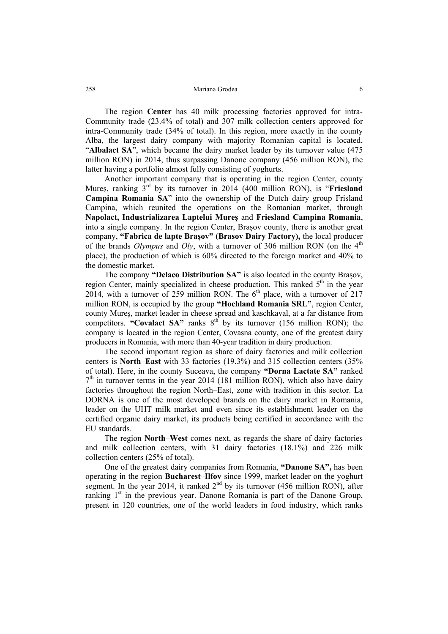The region **Center** has 40 milk processing factories approved for intra-Community trade (23.4% of total) and 307 milk collection centers approved for intra-Community trade (34% of total). In this region, more exactly in the county Alba, the largest dairy company with majority Romanian capital is located, "**Albalact SA**", which became the dairy market leader by its turnover value (475 million RON) in 2014, thus surpassing Danone company (456 million RON), the latter having a portfolio almost fully consisting of yoghurts.

Another important company that is operating in the region Center, county Mureș, ranking 3rd by its turnover in 2014 (400 million RON), is "**Friesland Campina Romania SA**" into the ownership of the Dutch dairy group Frisland Campina, which reunited the operations on the Romanian market, through **Napolact, Industrializarea Laptelui Mureş** and **Friesland Campina Romania**, into a single company. In the region Center, Brașov county, there is another great company, **"Fabrica de lapte Brașov" (Brasov Dairy Factory),** the local producer of the brands *Olympus* and *Oly*, with a turnover of 306 million RON (on the  $4<sup>th</sup>$ place), the production of which is 60% directed to the foreign market and 40% to the domestic market.

The company **"Delaco Distribution SA"** is also located in the county Brașov, region Center, mainly specialized in cheese production. This ranked  $5<sup>th</sup>$  in the year 2014, with a turnover of 259 million RON. The  $6<sup>th</sup>$  place, with a turnover of 217 million RON, is occupied by the group **"Hochland Romania SRL"**, region Center, county Mureș, market leader in cheese spread and kaschkaval, at a far distance from competitors. **"Covalact SA"** ranks  $8<sup>th</sup>$  by its turnover (156 million RON); the company is located in the region Center, Covasna county, one of the greatest dairy producers in Romania, with more than 40-year tradition in dairy production.

The second important region as share of dairy factories and milk collection centers is **North–East** with 33 factories (19.3%) and 315 collection centers (35% of total). Here, in the county Suceava, the company **"Dorna Lactate SA"** ranked  $7<sup>th</sup>$  in turnover terms in the year 2014 (181 million RON), which also have dairy factories throughout the region North–East, zone with tradition in this sector. La DORNA is one of the most developed brands on the dairy market in Romania, leader on the UHT milk market and even since its establishment leader on the certified organic dairy market, its products being certified in accordance with the EU standards.

The region **North–West** comes next, as regards the share of dairy factories and milk collection centers, with 31 dairy factories (18.1%) and 226 milk collection centers (25% of total).

One of the greatest dairy companies from Romania, **"Danone SA",** has been operating in the region **Bucharest–Ilfov** since 1999, market leader on the yoghurt segment. In the year 2014, it ranked  $2<sup>nd</sup>$  by its turnover (456 million RON), after ranking  $1<sup>st</sup>$  in the previous year. Danone Romania is part of the Danone Group, present in 120 countries, one of the world leaders in food industry, which ranks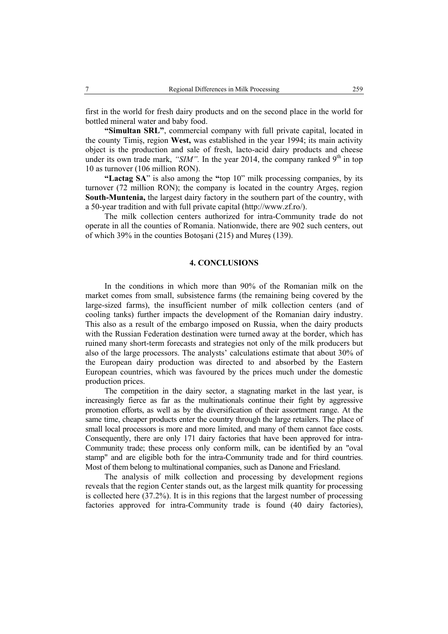first in the world for fresh dairy products and on the second place in the world for bottled mineral water and baby food.

**"Simultan SRL"**, commercial company with full private capital, located in the county Timiș, region **West,** was established in the year 1994; its main activity object is the production and sale of fresh, lacto-acid dairy products and cheese under its own trade mark, " $SIM$ ". In the year 2014, the company ranked 9<sup>th</sup> in top 10 as turnover (106 million RON).

**"Lactag SA**" is also among the **"**top 10" milk processing companies, by its turnover (72 million RON); the company is located in the country Argeș, region **South-Muntenia,** the largest dairy factory in the southern part of the country, with a 50-year tradition and with full private capital (http://www.zf.ro/).

The milk collection centers authorized for intra-Community trade do not operate in all the counties of Romania. Nationwide, there are 902 such centers, out of which 39% in the counties Botoșani (215) and Mureș (139).

### **4. CONCLUSIONS**

In the conditions in which more than 90% of the Romanian milk on the market comes from small, subsistence farms (the remaining being covered by the large-sized farms), the insufficient number of milk collection centers (and of cooling tanks) further impacts the development of the Romanian dairy industry. This also as a result of the embargo imposed on Russia, when the dairy products with the Russian Federation destination were turned away at the border, which has ruined many short-term forecasts and strategies not only of the milk producers but also of the large processors. The analysts' calculations estimate that about 30% of the European dairy production was directed to and absorbed by the Eastern European countries, which was favoured by the prices much under the domestic production prices.

The competition in the dairy sector, a stagnating market in the last year, is increasingly fierce as far as the multinationals continue their fight by aggressive promotion efforts, as well as by the diversification of their assortment range. At the same time, cheaper products enter the country through the large retailers. The place of small local processors is more and more limited, and many of them cannot face costs. Consequently, there are only 171 dairy factories that have been approved for intra-Community trade; these process only conform milk, can be identified by an "oval stamp" and are eligible both for the intra-Community trade and for third countries. Most of them belong to multinational companies, such as Danone and Friesland.

The analysis of milk collection and processing by development regions reveals that the region Center stands out, as the largest milk quantity for processing is collected here (37.2%). It is in this regions that the largest number of processing factories approved for intra-Community trade is found (40 dairy factories),